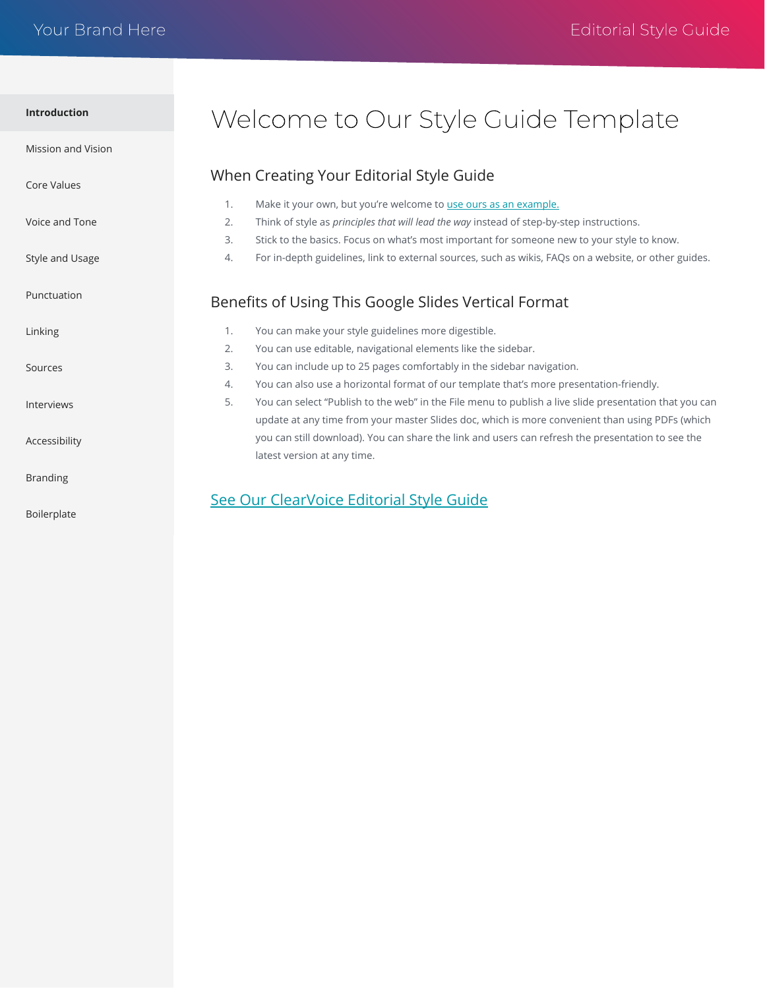<span id="page-0-0"></span>

| Introduction |  |
|--------------|--|
|              |  |

[Mission and Vision](#page-1-0)

[Core Values](#page-2-0)

[Voice and Tone](#page-3-0)

[Style and Usage](#page-4-0)

[Punctuation](#page-5-0)

[Linking](#page-6-0)

[Sources](#page-7-0)

[Interviews](#page-8-0)

[Accessibility](#page-9-0)

[Branding](#page-10-0)

[Boilerplate](#page-11-0)

# Welcome to Our Style Guide Template

#### When Creating Your Editorial Style Guide

- 1. Make it your own, but you're welcome to [use ours as an example.](https://docs.google.com/presentation/d/e/2PACX-1vR7UmBw-UBwmLmnY0U97_pHbRPt5oMZxuA-nqzVjYapgOS8hmSdHJlFunt_UJwC4OuScN3ZM2vbSjqq/pub?start=false&loop=false&delayms=10000&slide=id.g6f74ff15a0_1_0) 2. Think of style as *principles that will lead the way* instead of step-by-step instructions. 3. Stick to the basics. Focus on what's most important for someone new to your style to know.
	- 4. For in-depth guidelines, link to external sources, such as wikis, FAQs on a website, or other guides.

### Benefits of Using This Google Slides Vertical Format

- 1. You can make your style guidelines more digestible.
- 2. You can use editable, navigational elements like the sidebar.
- 3. You can include up to 25 pages comfortably in the sidebar navigation.
- 4. You can also use a horizontal format of our template that's more presentation-friendly.
- 5. You can select "Publish to the web" in the File menu to publish a live slide presentation that you can update at any time from your master Slides doc, which is more convenient than using PDFs (which you can still download). You can share the link and users can refresh the presentation to see the latest version at any time.

### [See Our ClearVoice Editorial Style Guide](https://docs.google.com/presentation/d/e/2PACX-1vR7UmBw-UBwmLmnY0U97_pHbRPt5oMZxuA-nqzVjYapgOS8hmSdHJlFunt_UJwC4OuScN3ZM2vbSjqq/pub?start=false&loop=false&delayms=10000&slide=id.g6f74ff15a0_1_0)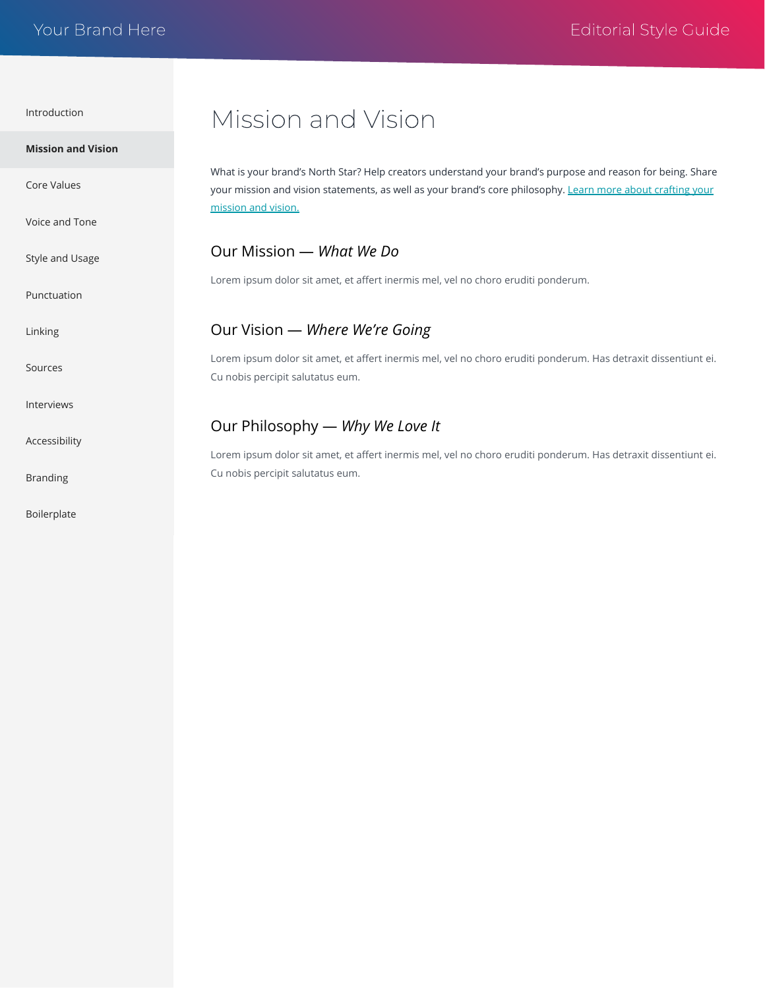<span id="page-1-0"></span>

| <b>Mission and Vision</b> | What is your brand's North Star? Help creators understand your brand's purpose and reason for being. Share<br>your mission and vision statements, as well as your brand's core philosophy. Learn more about crafting your<br>mission and vision. |
|---------------------------|--------------------------------------------------------------------------------------------------------------------------------------------------------------------------------------------------------------------------------------------------|
| <b>Core Values</b>        |                                                                                                                                                                                                                                                  |
| Voice and Tone            |                                                                                                                                                                                                                                                  |
| Style and Usage           | Our Mission - What We Do                                                                                                                                                                                                                         |
| Punctuation               | Lorem ipsum dolor sit amet, et affert inermis mel, vel no choro eruditi ponderum.                                                                                                                                                                |
| Linking                   | Our Vision - Where We're Going                                                                                                                                                                                                                   |
| Sources                   | Lorem ipsum dolor sit amet, et affert inermis mel, vel no choro eruditi ponderum. Has detraxit dissentiunt ei.<br>Cu nobis percipit salutatus eum.                                                                                               |
| Interviews                |                                                                                                                                                                                                                                                  |
| Accessibility             | Our Philosophy — Why We Love It<br>Lorem ipsum dolor sit amet, et affert inermis mel, vel no choro eruditi ponderum. Has detraxit dissentiunt ei.                                                                                                |
| <b>Branding</b>           | Cu nobis percipit salutatus eum.                                                                                                                                                                                                                 |
| Boilerplate               |                                                                                                                                                                                                                                                  |

Mission and Vision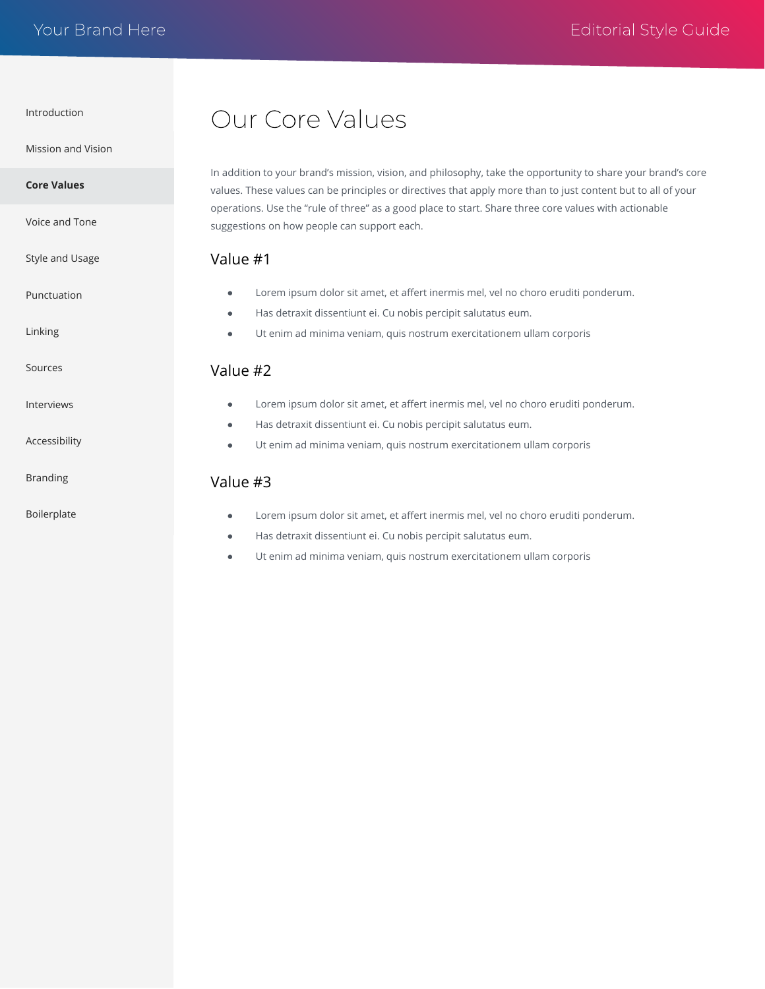<span id="page-2-0"></span>[Mission and Vision](#page-1-0)

[Voice and Tone](#page-3-0)

[Style and Usage](#page-4-0)

[Punctuation](#page-5-0)

[Linking](#page-6-0)

[Sources](#page-7-0)

[Interviews](#page-8-0)

[Accessibility](#page-9-0)

[Branding](#page-10-0)

[Boilerplate](#page-11-0)

# Our Core Values

In addition to your brand's mission, vision, and philosophy, take the opportunity to share your brand's core values. These values can be principles or directives that apply more than to just content but to all of your operations. Use the "rule of three" as a good place to start. Share three core values with actionable suggestions on how people can support each.

#### Value #1

- Lorem ipsum dolor sit amet, et affert inermis mel, vel no choro eruditi ponderum.
- Has detraxit dissentiunt ei. Cu nobis percipit salutatus eum.
- Ut enim ad minima veniam, quis nostrum exercitationem ullam corporis

#### Value #2

- Lorem ipsum dolor sit amet, et affert inermis mel, vel no choro eruditi ponderum.
- Has detraxit dissentiunt ei. Cu nobis percipit salutatus eum.
- Ut enim ad minima veniam, quis nostrum exercitationem ullam corporis

#### Value #3

- Lorem ipsum dolor sit amet, et affert inermis mel, vel no choro eruditi ponderum.
- Has detraxit dissentiunt ei. Cu nobis percipit salutatus eum.
- Ut enim ad minima veniam, quis nostrum exercitationem ullam corporis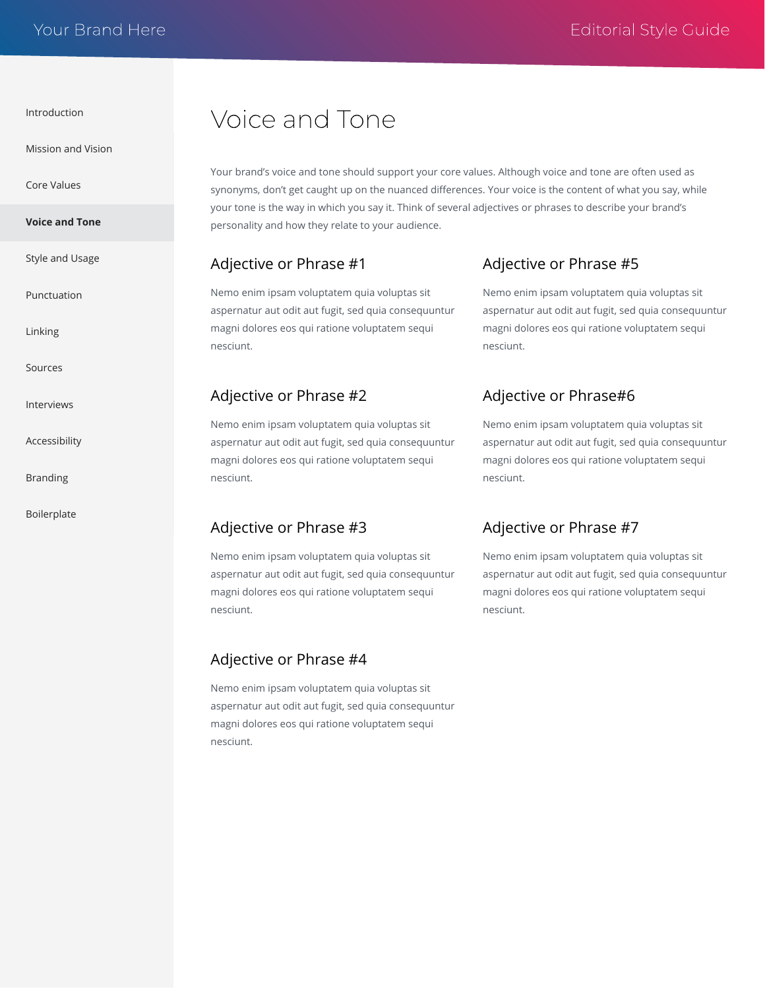<span id="page-3-0"></span>[Mission and Vision](#page-1-0)

[Core Values](#page-2-0)

**Voice and Tone**

[Style and Usage](#page-4-0)

[Punctuation](#page-5-0)

[Linking](#page-6-0)

[Sources](#page-7-0)

[Interviews](#page-8-0)

[Accessibility](#page-9-0)

[Branding](#page-10-0)

[Boilerplate](#page-11-0)

# Voice and Tone

Your brand's voice and tone should support your core values. Although voice and tone are often used as synonyms, don't get caught up on the nuanced differences. Your voice is the content of what you say, while your tone is the way in which you say it. Think of several adjectives or phrases to describe your brand's personality and how they relate to your audience.

#### Adjective or Phrase #1

Nemo enim ipsam voluptatem quia voluptas sit aspernatur aut odit aut fugit, sed quia consequuntur magni dolores eos qui ratione voluptatem sequi nesciunt.

#### Adjective or Phrase #2

Nemo enim ipsam voluptatem quia voluptas sit aspernatur aut odit aut fugit, sed quia consequuntur magni dolores eos qui ratione voluptatem sequi nesciunt.

#### Adjective or Phrase #3

Nemo enim ipsam voluptatem quia voluptas sit aspernatur aut odit aut fugit, sed quia consequuntur magni dolores eos qui ratione voluptatem sequi nesciunt.

#### Adjective or Phrase #4

Nemo enim ipsam voluptatem quia voluptas sit aspernatur aut odit aut fugit, sed quia consequuntur magni dolores eos qui ratione voluptatem sequi nesciunt.

#### Adjective or Phrase #5

Nemo enim ipsam voluptatem quia voluptas sit aspernatur aut odit aut fugit, sed quia consequuntur magni dolores eos qui ratione voluptatem sequi nesciunt.

### Adjective or Phrase#6

Nemo enim ipsam voluptatem quia voluptas sit aspernatur aut odit aut fugit, sed quia consequuntur magni dolores eos qui ratione voluptatem sequi nesciunt.

### Adjective or Phrase #7

Nemo enim ipsam voluptatem quia voluptas sit aspernatur aut odit aut fugit, sed quia consequuntur magni dolores eos qui ratione voluptatem sequi nesciunt.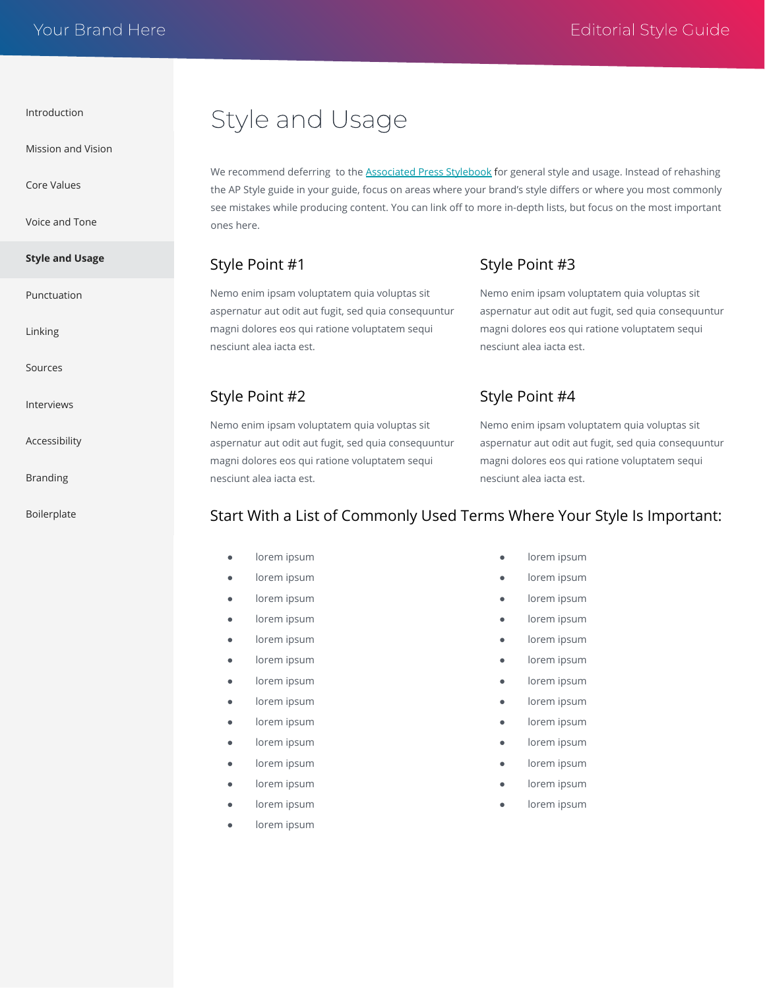<span id="page-4-0"></span>[Mission and Vision](#page-1-0)

[Core Values](#page-2-0)

[Voice and Tone](#page-3-0)

```
Style and Usage
```
[Punctuation](#page-5-0)

[Linking](#page-6-0)

[Sources](#page-7-0)

[Interviews](#page-8-0)

[Accessibility](#page-9-0)

[Branding](#page-10-0)

[Boilerplate](#page-11-0)

# Style and Usage

We recommend deferring to the [Associated Press Stylebook](https://www.apstylebook.com/) for general style and usage. Instead of rehashing the AP Style guide in your guide, focus on areas where your brand's style differs or where you most commonly see mistakes while producing content. You can link off to more in-depth lists, but focus on the most important ones here.

#### Style Point #1

Style Point #2

nesciunt alea iacta est.

Nemo enim ipsam voluptatem quia voluptas sit aspernatur aut odit aut fugit, sed quia consequuntur magni dolores eos qui ratione voluptatem sequi nesciunt alea iacta est.

Nemo enim ipsam voluptatem quia voluptas sit aspernatur aut odit aut fugit, sed quia consequuntur magni dolores eos qui ratione voluptatem sequi

Style Point #3

Nemo enim ipsam voluptatem quia voluptas sit aspernatur aut odit aut fugit, sed quia consequuntur magni dolores eos qui ratione voluptatem sequi nesciunt alea iacta est.

### Style Point #4

Nemo enim ipsam voluptatem quia voluptas sit aspernatur aut odit aut fugit, sed quia consequuntur magni dolores eos qui ratione voluptatem sequi nesciunt alea iacta est.

### Start With a List of Commonly Used Terms Where Your Style Is Important:

- lorem ipsum
- lorem ipsum
- lorem ipsum
- lorem ipsum
- lorem ipsum
- lorem ipsum
- lorem ipsum
- lorem ipsum
- lorem ipsum
- lorem ipsum
- lorem ipsum
- lorem ipsum
- lorem ipsum
- lorem ipsum
- lorem ipsum
- lorem ipsum
- lorem ipsum
- lorem ipsum
- lorem ipsum
	- lorem ipsum
- lorem ipsum
- lorem ipsum
- lorem ipsum
- lorem ipsum
- lorem ipsum
- lorem ipsum
- lorem ipsum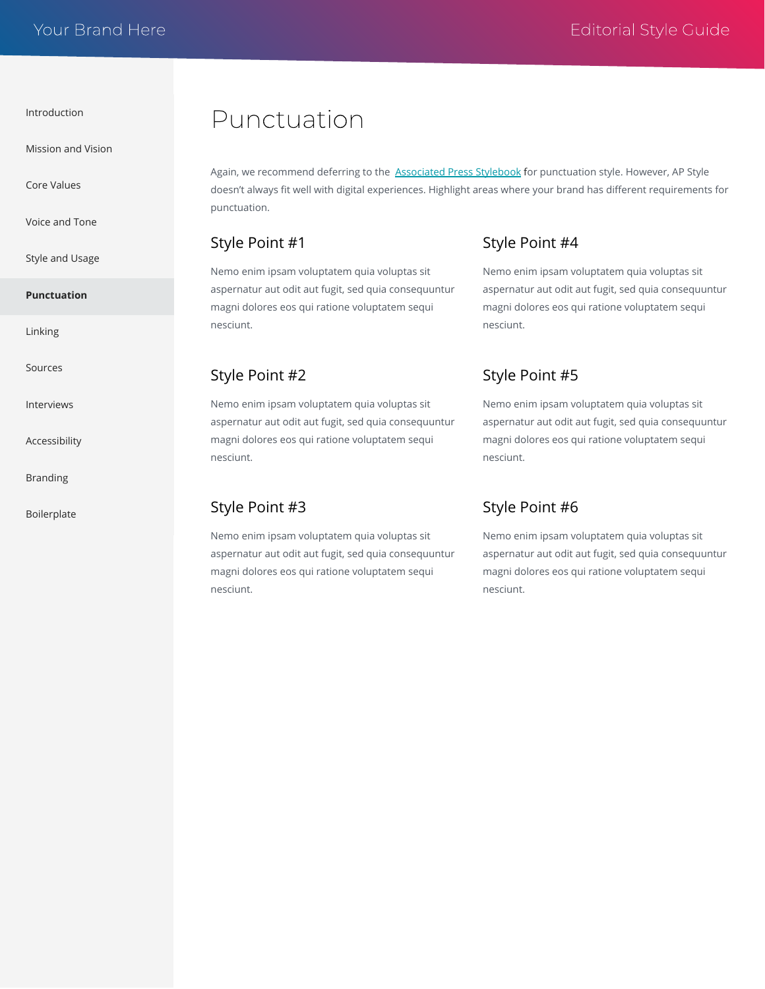<span id="page-5-0"></span>[Mission and Vision](#page-1-0)

[Core Values](#page-2-0)

[Voice and Tone](#page-3-0)

[Style and Usage](#page-4-0)

#### **Punctuation**

[Linking](#page-6-0)

[Sources](#page-7-0)

[Interviews](#page-8-0)

[Accessibility](#page-9-0)

[Branding](#page-10-0)

[Boilerplate](#page-11-0)

## Punctuation

Again, we recommend deferring to the [Associated Press Stylebook](https://www.apstylebook.com/) for punctuation style. However, AP Style doesn't always fit well with digital experiences. Highlight areas where your brand has different requirements for punctuation.

#### Style Point #1

Nemo enim ipsam voluptatem quia voluptas sit aspernatur aut odit aut fugit, sed quia consequuntur magni dolores eos qui ratione voluptatem sequi nesciunt.

#### Style Point #2

Nemo enim ipsam voluptatem quia voluptas sit aspernatur aut odit aut fugit, sed quia consequuntur magni dolores eos qui ratione voluptatem sequi nesciunt.

#### Style Point #3

Nemo enim ipsam voluptatem quia voluptas sit aspernatur aut odit aut fugit, sed quia consequuntur magni dolores eos qui ratione voluptatem sequi nesciunt.

#### Style Point #4

Nemo enim ipsam voluptatem quia voluptas sit aspernatur aut odit aut fugit, sed quia consequuntur magni dolores eos qui ratione voluptatem sequi nesciunt.

#### Style Point #5

Nemo enim ipsam voluptatem quia voluptas sit aspernatur aut odit aut fugit, sed quia consequuntur magni dolores eos qui ratione voluptatem sequi nesciunt.

#### Style Point #6

Nemo enim ipsam voluptatem quia voluptas sit aspernatur aut odit aut fugit, sed quia consequuntur magni dolores eos qui ratione voluptatem sequi nesciunt.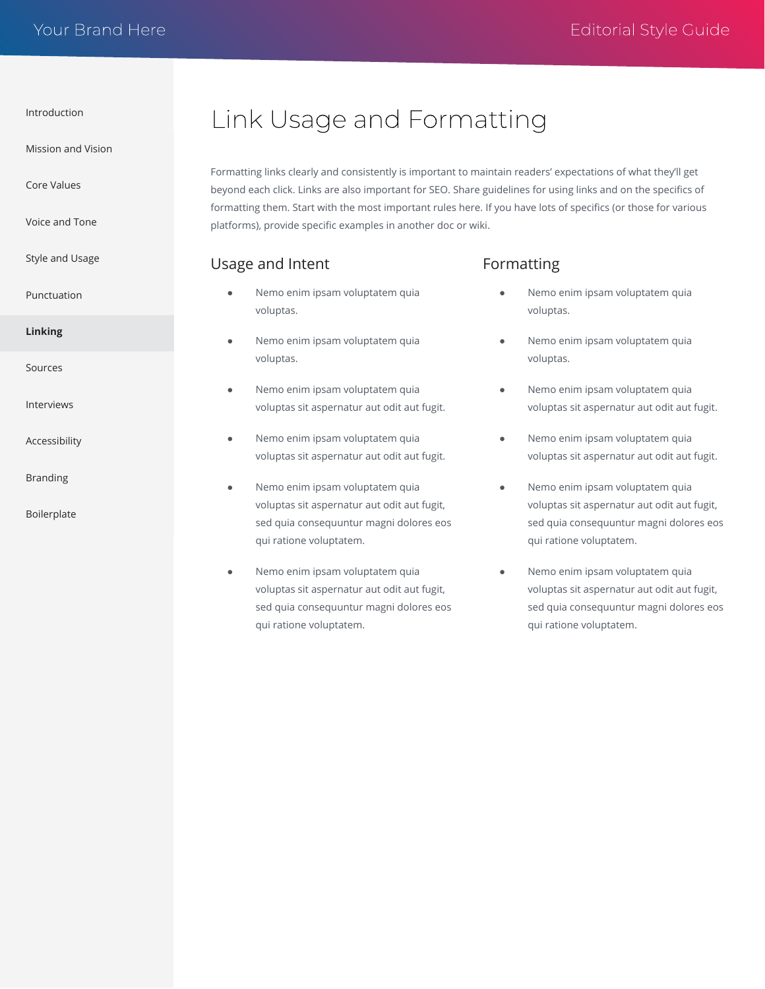<span id="page-6-0"></span>[Mission and Vision](#page-1-0)

[Core Values](#page-2-0)

[Voice and Tone](#page-3-0)

[Style and Usage](#page-4-0)

[Punctuation](#page-5-0)

- **Linking**
- [Sources](#page-7-0)

[Interviews](#page-8-0)

[Accessibility](#page-9-0)

[Branding](#page-10-0)

[Boilerplate](#page-11-0)

# Link Usage and Formatting

Formatting links clearly and consistently is important to maintain readers' expectations of what they'll get beyond each click. Links are also important for SEO. Share guidelines for using links and on the specifics of formatting them. Start with the most important rules here. If you have lots of specifics (or those for various platforms), provide specific examples in another doc or wiki.

#### Usage and Intent

- Nemo enim ipsam voluptatem quia voluptas.
- Nemo enim ipsam voluptatem quia voluptas.
- Nemo enim ipsam voluptatem quia voluptas sit aspernatur aut odit aut fugit.
- Nemo enim ipsam voluptatem quia voluptas sit aspernatur aut odit aut fugit.
- Nemo enim ipsam voluptatem quia voluptas sit aspernatur aut odit aut fugit, sed quia consequuntur magni dolores eos qui ratione voluptatem.
- Nemo enim ipsam voluptatem quia voluptas sit aspernatur aut odit aut fugit, sed quia consequuntur magni dolores eos qui ratione voluptatem.

#### Formatting

- Nemo enim ipsam voluptatem quia voluptas.
- Nemo enim ipsam voluptatem quia voluptas.
- Nemo enim ipsam voluptatem quia voluptas sit aspernatur aut odit aut fugit.
- Nemo enim ipsam voluptatem quia voluptas sit aspernatur aut odit aut fugit.
- Nemo enim ipsam voluptatem quia voluptas sit aspernatur aut odit aut fugit, sed quia consequuntur magni dolores eos qui ratione voluptatem.
- Nemo enim ipsam voluptatem quia voluptas sit aspernatur aut odit aut fugit, sed quia consequuntur magni dolores eos qui ratione voluptatem.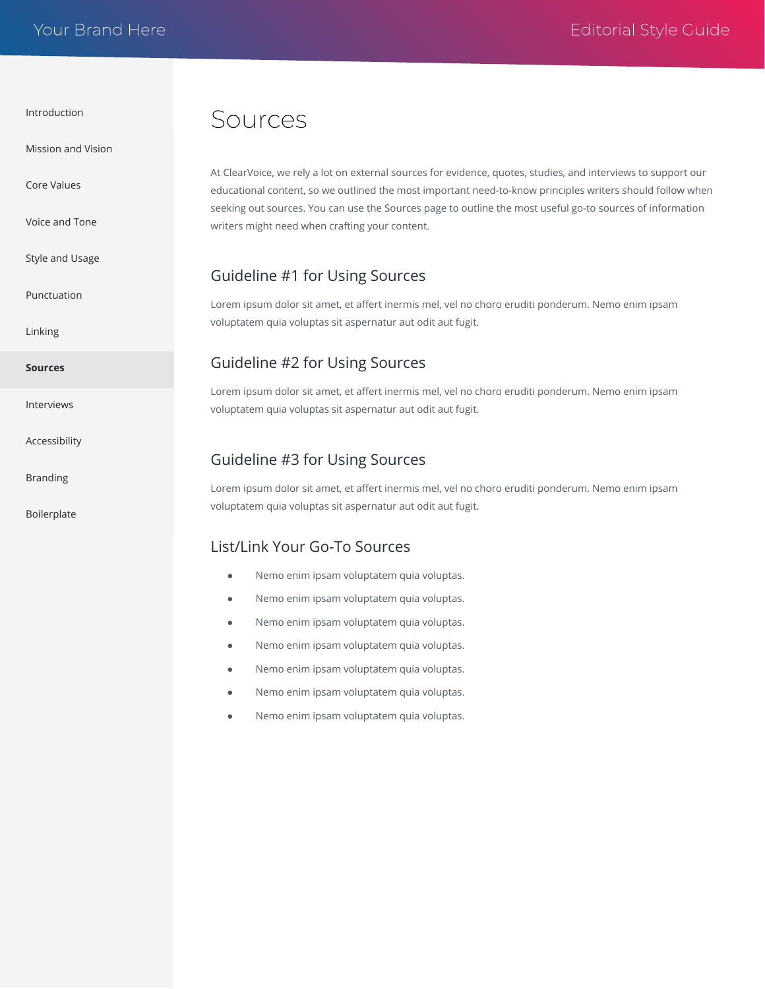<span id="page-7-0"></span>[Mission and Vision](#page-1-0)

[Core Values](#page-2-0)

[Voice and Tone](#page-3-0)

[Style and Usage](#page-4-0)

[Punctuation](#page-5-0)

[Linking](#page-6-0)

**Sources**

[Interviews](#page-8-0)

[Accessibility](#page-9-0)

[Branding](#page-10-0)

[Boilerplate](#page-11-0)

## Sources

At ClearVoice, we rely a lot on external sources for evidence, quotes, studies, and interviews to support our educational content, so we outlined the most important need-to-know principles writers should follow when seeking out sources. You can use the Sources page to outline the most useful go-to sources of information writers might need when crafting your content.

#### Guideline #1 for Using Sources

Lorem ipsum dolor sit amet, et affert inermis mel, vel no choro eruditi ponderum. Nemo enim ipsam voluptatem quia voluptas sit aspernatur aut odit aut fugit.

#### Guideline #2 for Using Sources

Lorem ipsum dolor sit amet, et affert inermis mel, vel no choro eruditi ponderum. Nemo enim ipsam voluptatem quia voluptas sit aspernatur aut odit aut fugit.

#### Guideline #3 for Using Sources

Lorem ipsum dolor sit amet, et affert inermis mel, vel no choro eruditi ponderum. Nemo enim ipsam voluptatem quia voluptas sit aspernatur aut odit aut fugit.

#### List/Link Your Go-To Sources

- Nemo enim ipsam voluptatem quia voluptas.
- Nemo enim ipsam voluptatem quia voluptas.
- Nemo enim ipsam voluptatem quia voluptas.
- Nemo enim ipsam voluptatem quia voluptas.
- Nemo enim ipsam voluptatem quia voluptas.
- Nemo enim ipsam voluptatem quia voluptas.
- Nemo enim ipsam voluptatem quia voluptas.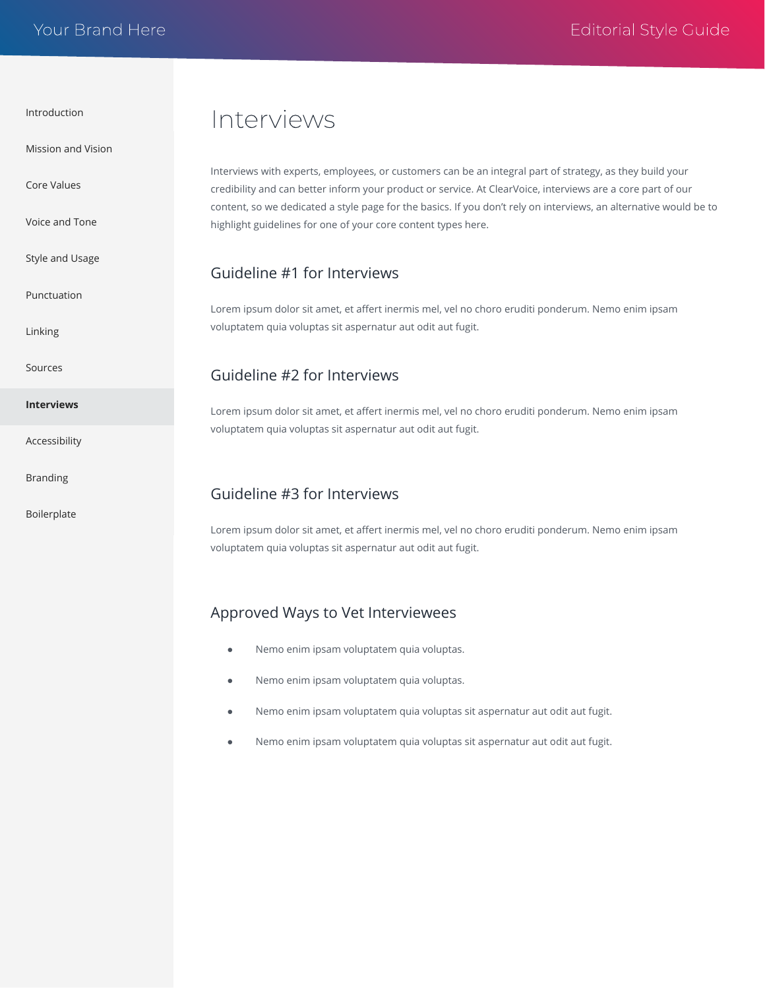<span id="page-8-0"></span>[Mission and Vision](#page-1-0)

[Core Values](#page-2-0)

[Voice and Tone](#page-3-0)

[Style and Usage](#page-4-0)

[Punctuation](#page-5-0)

[Linking](#page-6-0)

[Sources](#page-7-0)

**Interviews**

[Accessibility](#page-9-0)

[Branding](#page-10-0)

[Boilerplate](#page-11-0)

## Interviews

Interviews with experts, employees, or customers can be an integral part of strategy, as they build your credibility and can better inform your product or service. At ClearVoice, interviews are a core part of our content, so we dedicated a style page for the basics. If you don't rely on interviews, an alternative would be to highlight guidelines for one of your core content types here.

#### Guideline #1 for Interviews

Lorem ipsum dolor sit amet, et affert inermis mel, vel no choro eruditi ponderum. Nemo enim ipsam voluptatem quia voluptas sit aspernatur aut odit aut fugit.

#### Guideline #2 for Interviews

Lorem ipsum dolor sit amet, et affert inermis mel, vel no choro eruditi ponderum. Nemo enim ipsam voluptatem quia voluptas sit aspernatur aut odit aut fugit.

#### Guideline #3 for Interviews

Lorem ipsum dolor sit amet, et affert inermis mel, vel no choro eruditi ponderum. Nemo enim ipsam voluptatem quia voluptas sit aspernatur aut odit aut fugit.

#### Approved Ways to Vet Interviewees

- Nemo enim ipsam voluptatem quia voluptas.
- Nemo enim ipsam voluptatem quia voluptas.
- Nemo enim ipsam voluptatem quia voluptas sit aspernatur aut odit aut fugit.
- Nemo enim ipsam voluptatem quia voluptas sit aspernatur aut odit aut fugit.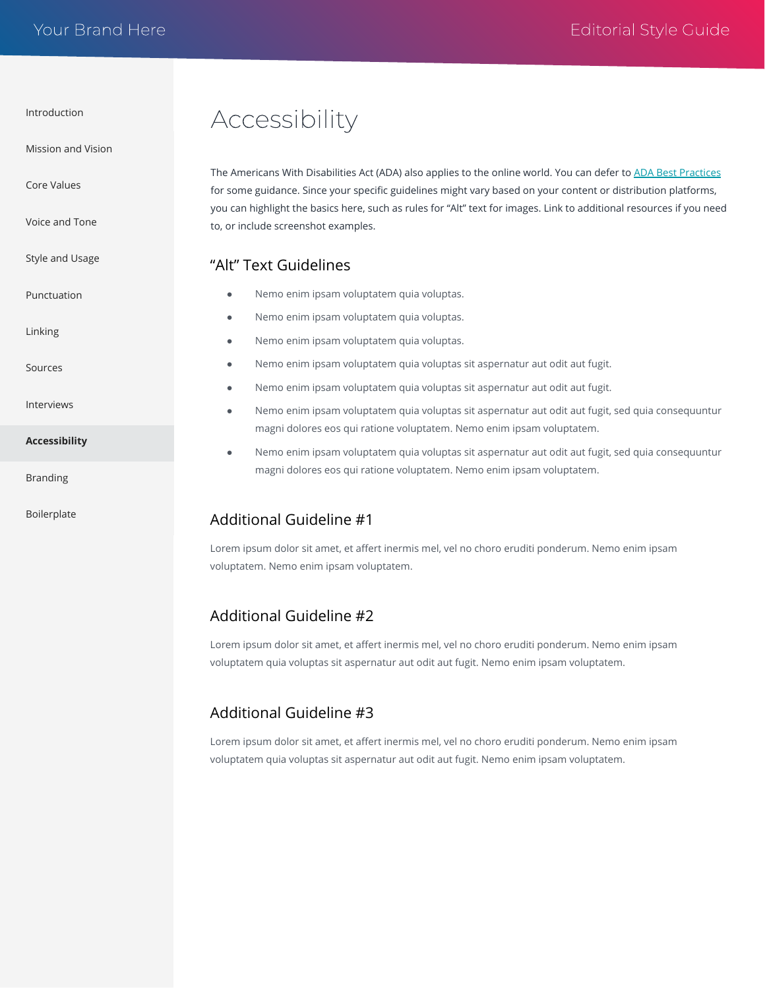<span id="page-9-0"></span>[Mission and Vision](#page-1-0)

[Core Values](#page-2-0)

[Voice and Tone](#page-3-0)

[Style and Usage](#page-4-0)

[Punctuation](#page-5-0)

[Linking](#page-6-0)

[Sources](#page-7-0)

[Interviews](#page-8-0)

**Accessibility**

[Branding](#page-10-0)

[Boilerplate](#page-11-0)

# Accessibility

The Americans With Disabilities Act (ADA) also applies to the online world. You can defer to [ADA Best Practices](https://www.ada.gov/pcatoolkit/chap5toolkit.htm) for some guidance. Since your specific guidelines might vary based on your content or distribution platforms, you can highlight the basics here, such as rules for "Alt" text for images. Link to additional resources if you need to, or include screenshot examples.

#### "Alt" Text Guidelines

- Nemo enim ipsam voluptatem quia voluptas.
- Nemo enim ipsam voluptatem quia voluptas.
- Nemo enim ipsam voluptatem quia voluptas.
- Nemo enim ipsam voluptatem quia voluptas sit aspernatur aut odit aut fugit.
- Nemo enim ipsam voluptatem quia voluptas sit aspernatur aut odit aut fugit.
- Nemo enim ipsam voluptatem quia voluptas sit aspernatur aut odit aut fugit, sed quia consequuntur magni dolores eos qui ratione voluptatem. Nemo enim ipsam voluptatem.
- Nemo enim ipsam voluptatem quia voluptas sit aspernatur aut odit aut fugit, sed quia consequuntur magni dolores eos qui ratione voluptatem. Nemo enim ipsam voluptatem.

### Additional Guideline #1

Lorem ipsum dolor sit amet, et affert inermis mel, vel no choro eruditi ponderum. Nemo enim ipsam voluptatem. Nemo enim ipsam voluptatem.

### Additional Guideline #2

Lorem ipsum dolor sit amet, et affert inermis mel, vel no choro eruditi ponderum. Nemo enim ipsam voluptatem quia voluptas sit aspernatur aut odit aut fugit. Nemo enim ipsam voluptatem.

### Additional Guideline #3

Lorem ipsum dolor sit amet, et affert inermis mel, vel no choro eruditi ponderum. Nemo enim ipsam voluptatem quia voluptas sit aspernatur aut odit aut fugit. Nemo enim ipsam voluptatem.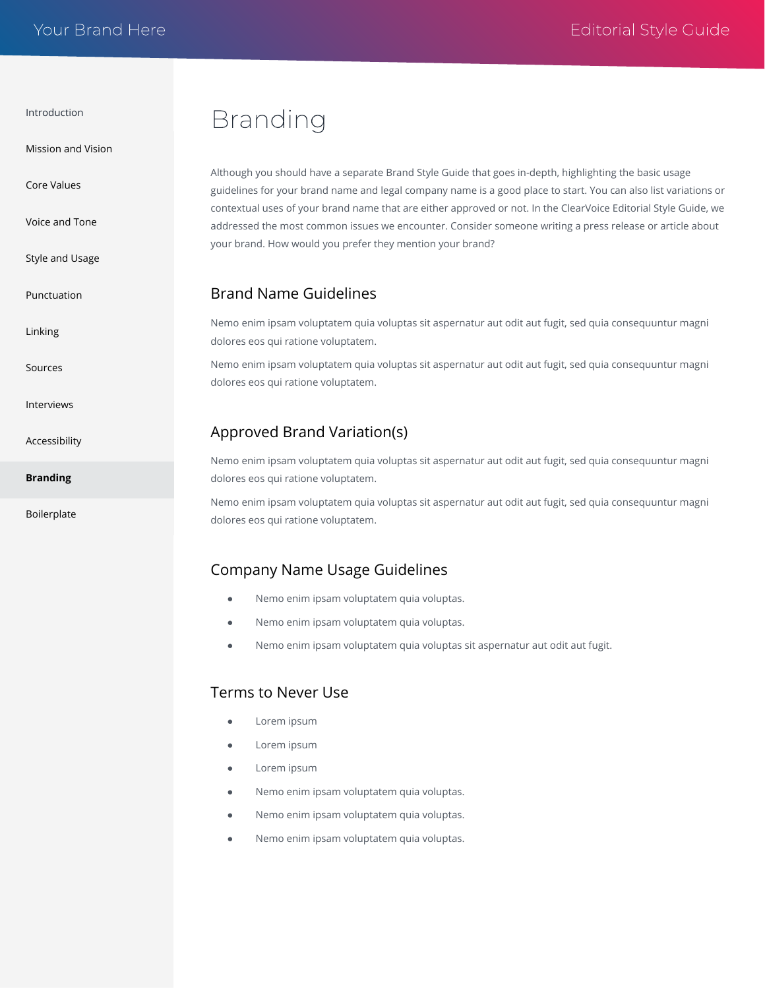<span id="page-10-0"></span>[Mission and Vision](#page-1-0)

[Core Values](#page-2-0)

[Voice and Tone](#page-3-0)

[Style and Usage](#page-4-0)

[Punctuation](#page-5-0)

[Linking](#page-6-0)

[Sources](#page-7-0)

[Interviews](#page-8-0)

[Accessibility](#page-9-0)

**Branding**

[Boilerplate](#page-11-0)

## Branding

Although you should have a separate Brand Style Guide that goes in-depth, highlighting the basic usage guidelines for your brand name and legal company name is a good place to start. You can also list variations or contextual uses of your brand name that are either approved or not. In the ClearVoice Editorial Style Guide, we addressed the most common issues we encounter. Consider someone writing a press release or article about your brand. How would you prefer they mention your brand?

#### Brand Name Guidelines

Nemo enim ipsam voluptatem quia voluptas sit aspernatur aut odit aut fugit, sed quia consequuntur magni dolores eos qui ratione voluptatem.

Nemo enim ipsam voluptatem quia voluptas sit aspernatur aut odit aut fugit, sed quia consequuntur magni dolores eos qui ratione voluptatem.

#### Approved Brand Variation(s)

Nemo enim ipsam voluptatem quia voluptas sit aspernatur aut odit aut fugit, sed quia consequuntur magni dolores eos qui ratione voluptatem.

Nemo enim ipsam voluptatem quia voluptas sit aspernatur aut odit aut fugit, sed quia consequuntur magni dolores eos qui ratione voluptatem.

#### Company Name Usage Guidelines

- Nemo enim ipsam voluptatem quia voluptas.
- Nemo enim ipsam voluptatem quia voluptas.
- Nemo enim ipsam voluptatem quia voluptas sit aspernatur aut odit aut fugit.

#### Terms to Never Use

- Lorem ipsum
- Lorem ipsum
- Lorem ipsum
- Nemo enim ipsam voluptatem quia voluptas.
- Nemo enim ipsam voluptatem quia voluptas.
- Nemo enim ipsam voluptatem quia voluptas.